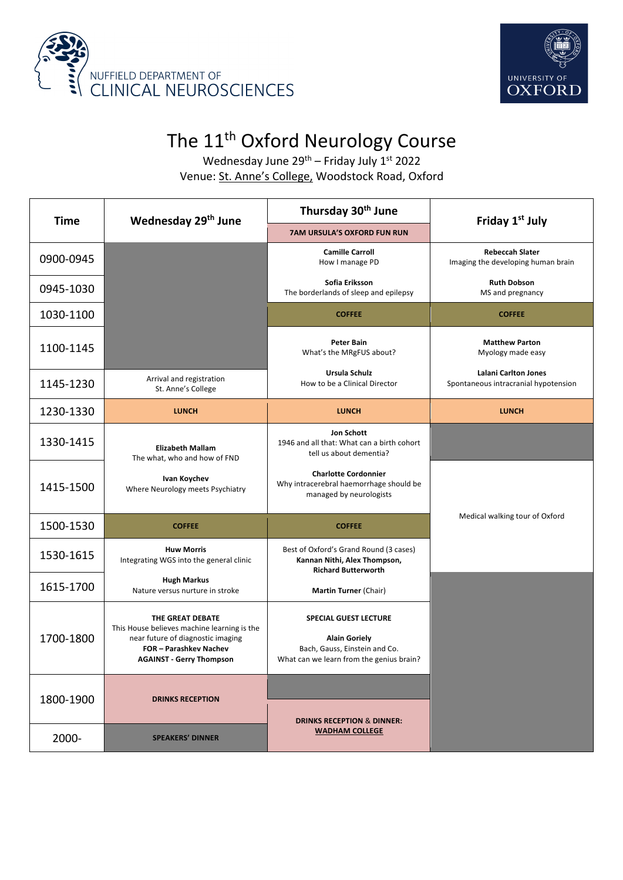



## The 11<sup>th</sup> Oxford Neurology Course

Wednesday June  $29^{th}$  – Friday July  $1^{st}$  2022 Venue: St. Anne's College, Woodstock Road, Oxford

| Time      | Wednesday 29 <sup>th</sup> June                                                                                                                                        | Thursday 30 <sup>th</sup> June                                                                                                    | Friday 1 <sup>st</sup> July                                         |
|-----------|------------------------------------------------------------------------------------------------------------------------------------------------------------------------|-----------------------------------------------------------------------------------------------------------------------------------|---------------------------------------------------------------------|
|           |                                                                                                                                                                        | <b>7AM URSULA'S OXFORD FUN RUN</b>                                                                                                |                                                                     |
| 0900-0945 |                                                                                                                                                                        | <b>Camille Carroll</b><br>How I manage PD                                                                                         | <b>Rebeccah Slater</b><br>Imaging the developing human brain        |
| 0945-1030 |                                                                                                                                                                        | Sofia Eriksson<br>The borderlands of sleep and epilepsy                                                                           | <b>Ruth Dobson</b><br>MS and pregnancy                              |
| 1030-1100 |                                                                                                                                                                        | <b>COFFEE</b>                                                                                                                     | <b>COFFEE</b>                                                       |
| 1100-1145 |                                                                                                                                                                        | <b>Peter Bain</b><br>What's the MRgFUS about?                                                                                     | <b>Matthew Parton</b><br>Myology made easy                          |
| 1145-1230 | Arrival and registration<br>St. Anne's College                                                                                                                         | Ursula Schulz<br>How to be a Clinical Director                                                                                    | <b>Lalani Carlton Jones</b><br>Spontaneous intracranial hypotension |
| 1230-1330 | <b>LUNCH</b>                                                                                                                                                           | <b>LUNCH</b>                                                                                                                      | <b>LUNCH</b>                                                        |
| 1330-1415 | <b>Elizabeth Mallam</b><br>The what, who and how of FND                                                                                                                | Jon Schott<br>1946 and all that: What can a birth cohort<br>tell us about dementia?                                               |                                                                     |
| 1415-1500 | Ivan Koychev<br>Where Neurology meets Psychiatry                                                                                                                       | <b>Charlotte Cordonnier</b><br>Why intracerebral haemorrhage should be<br>managed by neurologists                                 |                                                                     |
| 1500-1530 | <b>COFFEE</b>                                                                                                                                                          | <b>COFFEE</b>                                                                                                                     | Medical walking tour of Oxford                                      |
| 1530-1615 | <b>Huw Morris</b><br>Integrating WGS into the general clinic                                                                                                           | Best of Oxford's Grand Round (3 cases)<br>Kannan Nithi, Alex Thompson,<br><b>Richard Butterworth</b>                              |                                                                     |
| 1615-1700 | <b>Hugh Markus</b><br>Nature versus nurture in stroke                                                                                                                  | Martin Turner (Chair)                                                                                                             |                                                                     |
| 1700-1800 | THE GREAT DEBATE<br>This House believes machine learning is the<br>near future of diagnostic imaging<br><b>FOR-Parashkev Nachev</b><br><b>AGAINST - Gerry Thompson</b> | <b>SPECIAL GUEST LECTURE</b><br><b>Alain Goriely</b><br>Bach, Gauss, Einstein and Co.<br>What can we learn from the genius brain? |                                                                     |
| 1800-1900 | <b>DRINKS RECEPTION</b>                                                                                                                                                | <b>DRINKS RECEPTION &amp; DINNER:</b>                                                                                             |                                                                     |
| 2000-     | <b>SPEAKERS' DINNER</b>                                                                                                                                                | <b>WADHAM COLLEGE</b>                                                                                                             |                                                                     |